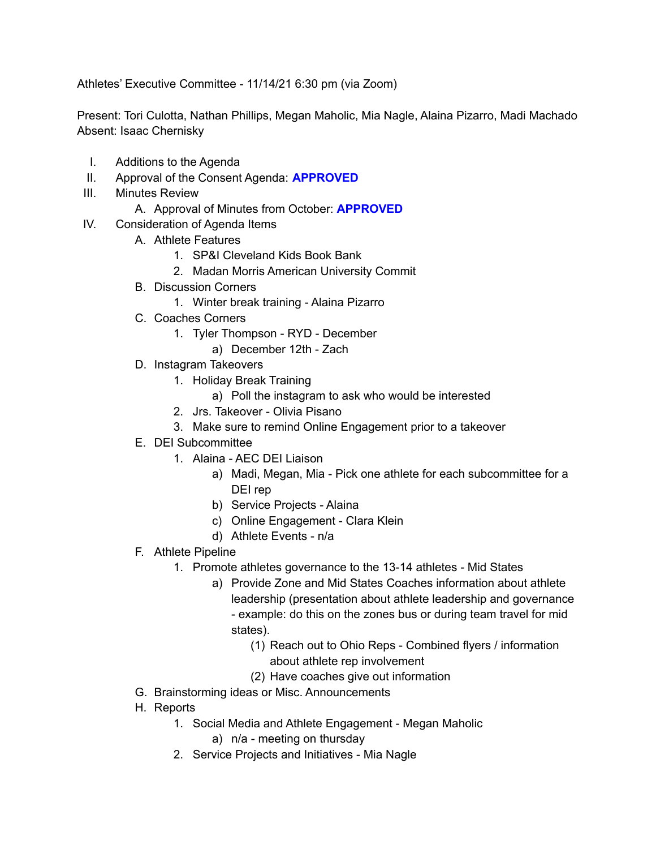Athletes' Executive Committee - 11/14/21 6:30 pm (via Zoom)

Present: Tori Culotta, Nathan Phillips, Megan Maholic, Mia Nagle, Alaina Pizarro, Madi Machado Absent: Isaac Chernisky

- I. Additions to the Agenda
- II. Approval of the Consent Agenda: **APPROVED**
- III. Minutes Review
	- A. Approval of Minutes from October: **APPROVED**
- IV. Consideration of Agenda Items
	- A. Athlete Features
		- 1. SP&I Cleveland Kids Book Bank
		- 2. Madan Morris American University Commit
	- B. Discussion Corners
		- 1. Winter break training Alaina Pizarro
	- C. Coaches Corners
		- 1. Tyler Thompson RYD December
			- a) December 12th Zach
	- D. Instagram Takeovers
		- 1. Holiday Break Training
			- a) Poll the instagram to ask who would be interested
		- 2. Jrs. Takeover Olivia Pisano
		- 3. Make sure to remind Online Engagement prior to a takeover
	- E. DEI Subcommittee
		- 1. Alaina AEC DEI Liaison
			- a) Madi, Megan, Mia Pick one athlete for each subcommittee for a DEI rep
			- b) Service Projects Alaina
			- c) Online Engagement Clara Klein
			- d) Athlete Events n/a
	- F. Athlete Pipeline
		- 1. Promote athletes governance to the 13-14 athletes Mid States
			- a) Provide Zone and Mid States Coaches information about athlete leadership (presentation about athlete leadership and governance - example: do this on the zones bus or during team travel for mid states).
				- (1) Reach out to Ohio Reps Combined flyers / information about athlete rep involvement
				- (2) Have coaches give out information
	- G. Brainstorming ideas or Misc. Announcements
	- H. Reports
		- 1. Social Media and Athlete Engagement Megan Maholic
			- a) n/a meeting on thursday
		- 2. Service Projects and Initiatives Mia Nagle